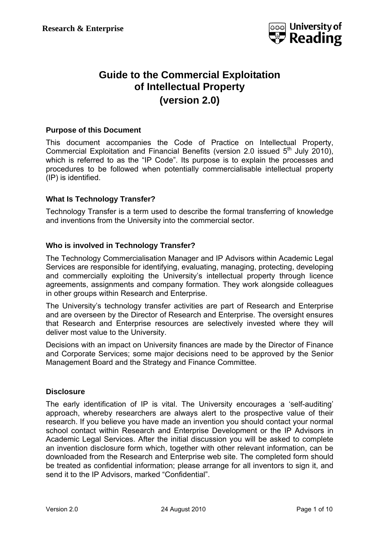

# **Guide to the Commercial Exploitation of Intellectual Property (version 2.0)**

#### **Purpose of this Document**

This document accompanies the Code of Practice on Intellectual Property, Commercial Exploitation and Financial Benefits (version 2.0 issued  $5<sup>th</sup>$  July 2010), which is referred to as the "IP Code". Its purpose is to explain the processes and procedures to be followed when potentially commercialisable intellectual property (IP) is identified.

#### **What Is Technology Transfer?**

Technology Transfer is a term used to describe the formal transferring of knowledge and inventions from the University into the commercial sector.

#### **Who is involved in Technology Transfer?**

The Technology Commercialisation Manager and IP Advisors within Academic Legal Services are responsible for identifying, evaluating, managing, protecting, developing and commercially exploiting the University's intellectual property through licence agreements, assignments and company formation. They work alongside colleagues in other groups within Research and Enterprise.

The University's technology transfer activities are part of Research and Enterprise and are overseen by the Director of Research and Enterprise. The oversight ensures that Research and Enterprise resources are selectively invested where they will deliver most value to the University.

Decisions with an impact on University finances are made by the Director of Finance and Corporate Services; some major decisions need to be approved by the Senior Management Board and the Strategy and Finance Committee.

#### **Disclosure**

The early identification of IP is vital. The University encourages a 'self-auditing' approach, whereby researchers are always alert to the prospective value of their research. If you believe you have made an invention you should contact your normal school contact within Research and Enterprise Development or the IP Advisors in Academic Legal Services. After the initial discussion you will be asked to complete an invention disclosure form which, together with other relevant information, can be downloaded from the Research and Enterprise web site. The completed form should be treated as confidential information; please arrange for all inventors to sign it, and send it to the IP Advisors, marked "Confidential".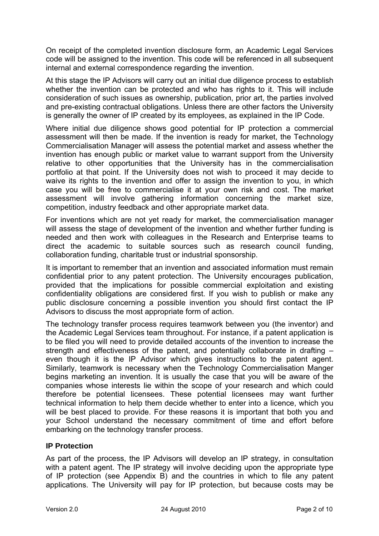On receipt of the completed invention disclosure form, an Academic Legal Services code will be assigned to the invention. This code will be referenced in all subsequent internal and external correspondence regarding the invention.

At this stage the IP Advisors will carry out an initial due diligence process to establish whether the invention can be protected and who has rights to it. This will include consideration of such issues as ownership, publication, prior art, the parties involved and pre-existing contractual obligations. Unless there are other factors the University is generally the owner of IP created by its employees, as explained in the IP Code.

Where initial due diligence shows good potential for IP protection a commercial assessment will then be made. If the invention is ready for market, the Technology Commercialisation Manager will assess the potential market and assess whether the invention has enough public or market value to warrant support from the University relative to other opportunities that the University has in the commercialisation portfolio at that point. If the University does not wish to proceed it may decide to waive its rights to the invention and offer to assign the invention to you, in which case you will be free to commercialise it at your own risk and cost. The market assessment will involve gathering information concerning the market size, competition, industry feedback and other appropriate market data.

For inventions which are not yet ready for market, the commercialisation manager will assess the stage of development of the invention and whether further funding is needed and then work with colleagues in the Research and Enterprise teams to direct the academic to suitable sources such as research council funding, collaboration funding, charitable trust or industrial sponsorship.

It is important to remember that an invention and associated information must remain confidential prior to any patent protection. The University encourages publication, provided that the implications for possible commercial exploitation and existing confidentiality obligations are considered first. If you wish to publish or make any public disclosure concerning a possible invention you should first contact the IP Advisors to discuss the most appropriate form of action.

The technology transfer process requires teamwork between you (the inventor) and the Academic Legal Services team throughout. For instance, if a patent application is to be filed you will need to provide detailed accounts of the invention to increase the strength and effectiveness of the patent, and potentially collaborate in drafting – even though it is the IP Advisor which gives instructions to the patent agent. Similarly, teamwork is necessary when the Technology Commercialisation Manger begins marketing an invention. It is usually the case that you will be aware of the companies whose interests lie within the scope of your research and which could therefore be potential licensees. These potential licensees may want further technical information to help them decide whether to enter into a licence, which you will be best placed to provide. For these reasons it is important that both you and your School understand the necessary commitment of time and effort before embarking on the technology transfer process.

#### **IP Protection**

As part of the process, the IP Advisors will develop an IP strategy, in consultation with a patent agent. The IP strategy will involve deciding upon the appropriate type of IP protection (see Appendix B) and the countries in which to file any patent applications. The University will pay for IP protection, but because costs may be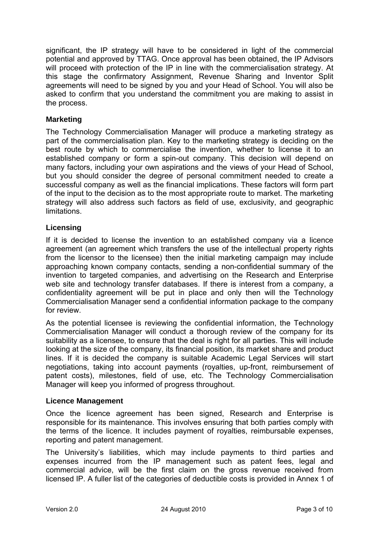significant, the IP strategy will have to be considered in light of the commercial potential and approved by TTAG. Once approval has been obtained, the IP Advisors will proceed with protection of the IP in line with the commercialisation strategy. At this stage the confirmatory Assignment, Revenue Sharing and Inventor Split agreements will need to be signed by you and your Head of School. You will also be asked to confirm that you understand the commitment you are making to assist in the process.

# **Marketing**

The Technology Commercialisation Manager will produce a marketing strategy as part of the commercialisation plan. Key to the marketing strategy is deciding on the best route by which to commercialise the invention, whether to license it to an established company or form a spin-out company. This decision will depend on many factors, including your own aspirations and the views of your Head of School, but you should consider the degree of personal commitment needed to create a successful company as well as the financial implications. These factors will form part of the input to the decision as to the most appropriate route to market. The marketing strategy will also address such factors as field of use, exclusivity, and geographic limitations.

# **Licensing**

If it is decided to license the invention to an established company via a licence agreement (an agreement which transfers the use of the intellectual property rights from the licensor to the licensee) then the initial marketing campaign may include approaching known company contacts, sending a non-confidential summary of the invention to targeted companies, and advertising on the Research and Enterprise web site and technology transfer databases. If there is interest from a company, a confidentiality agreement will be put in place and only then will the Technology Commercialisation Manager send a confidential information package to the company for review.

As the potential licensee is reviewing the confidential information, the Technology Commercialisation Manager will conduct a thorough review of the company for its suitability as a licensee, to ensure that the deal is right for all parties. This will include looking at the size of the company, its financial position, its market share and product lines. If it is decided the company is suitable Academic Legal Services will start negotiations, taking into account payments (royalties, up-front, reimbursement of patent costs), milestones, field of use, etc. The Technology Commercialisation Manager will keep you informed of progress throughout.

#### **Licence Management**

Once the licence agreement has been signed, Research and Enterprise is responsible for its maintenance. This involves ensuring that both parties comply with the terms of the licence. It includes payment of royalties, reimbursable expenses, reporting and patent management.

The University's liabilities, which may include payments to third parties and expenses incurred from the IP management such as patent fees, legal and commercial advice, will be the first claim on the gross revenue received from licensed IP. A fuller list of the categories of deductible costs is provided in Annex 1 of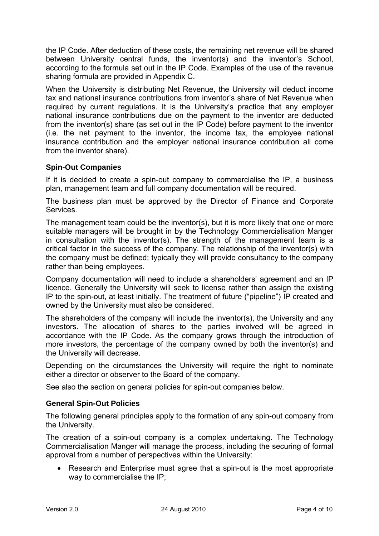the IP Code. After deduction of these costs, the remaining net revenue will be shared between University central funds, the inventor(s) and the inventor's School, according to the formula set out in the IP Code. Examples of the use of the revenue sharing formula are provided in Appendix C.

When the University is distributing Net Revenue, the University will deduct income tax and national insurance contributions from inventor's share of Net Revenue when required by current regulations. It is the University's practice that any employer national insurance contributions due on the payment to the inventor are deducted from the inventor(s) share (as set out in the IP Code) before payment to the inventor (i.e. the net payment to the inventor, the income tax, the employee national insurance contribution and the employer national insurance contribution all come from the inventor share).

# **Spin-Out Companies**

If it is decided to create a spin-out company to commercialise the IP, a business plan, management team and full company documentation will be required.

The business plan must be approved by the Director of Finance and Corporate Services.

The management team could be the inventor(s), but it is more likely that one or more suitable managers will be brought in by the Technology Commercialisation Manger in consultation with the inventor(s). The strength of the management team is a critical factor in the success of the company. The relationship of the inventor(s) with the company must be defined; typically they will provide consultancy to the company rather than being employees.

Company documentation will need to include a shareholders' agreement and an IP licence. Generally the University will seek to license rather than assign the existing IP to the spin-out, at least initially. The treatment of future ("pipeline") IP created and owned by the University must also be considered.

The shareholders of the company will include the inventor(s), the University and any investors. The allocation of shares to the parties involved will be agreed in accordance with the IP Code. As the company grows through the introduction of more investors, the percentage of the company owned by both the inventor(s) and the University will decrease.

Depending on the circumstances the University will require the right to nominate either a director or observer to the Board of the company.

See also the section on general policies for spin-out companies below.

#### **General Spin-Out Policies**

The following general principles apply to the formation of any spin-out company from the University.

The creation of a spin-out company is a complex undertaking. The Technology Commercialisation Manger will manage the process, including the securing of formal approval from a number of perspectives within the University:

• Research and Enterprise must agree that a spin-out is the most appropriate way to commercialise the IP;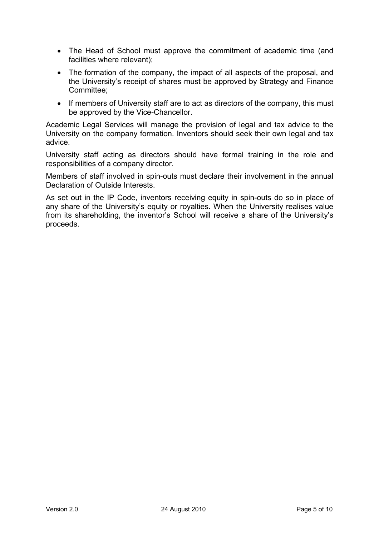- The Head of School must approve the commitment of academic time (and facilities where relevant);
- The formation of the company, the impact of all aspects of the proposal, and the University's receipt of shares must be approved by Strategy and Finance Committee;
- If members of University staff are to act as directors of the company, this must be approved by the Vice-Chancellor.

Academic Legal Services will manage the provision of legal and tax advice to the University on the company formation. Inventors should seek their own legal and tax advice.

University staff acting as directors should have formal training in the role and responsibilities of a company director.

Members of staff involved in spin-outs must declare their involvement in the annual Declaration of Outside Interests.

As set out in the IP Code, inventors receiving equity in spin-outs do so in place of any share of the University's equity or royalties. When the University realises value from its shareholding, the inventor's School will receive a share of the University's proceeds.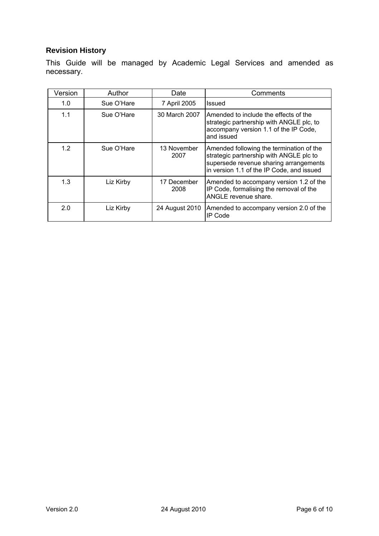# **Revision History**

This Guide will be managed by Academic Legal Services and amended as necessary.

| Version | Author     | Date                | Comments                                                                                                                                                                   |
|---------|------------|---------------------|----------------------------------------------------------------------------------------------------------------------------------------------------------------------------|
| 1.0     | Sue O'Hare | 7 April 2005        | Issued                                                                                                                                                                     |
| 1.1     | Sue O'Hare | 30 March 2007       | Amended to include the effects of the<br>strategic partnership with ANGLE plc, to<br>accompany version 1.1 of the IP Code,<br>and issued                                   |
| 1.2     | Sue O'Hare | 13 November<br>2007 | Amended following the termination of the<br>strategic partnership with ANGLE plc to<br>supersede revenue sharing arrangements<br>in version 1.1 of the IP Code, and issued |
| 1.3     | Liz Kirby  | 17 December<br>2008 | Amended to accompany version 1.2 of the<br>IP Code, formalising the removal of the<br>ANGLE revenue share.                                                                 |
| 2.0     | Liz Kirby  | 24 August 2010      | Amended to accompany version 2.0 of the<br>IP Code                                                                                                                         |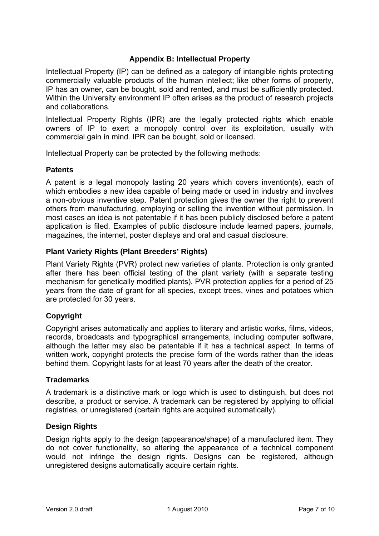#### **Appendix B: Intellectual Property**

Intellectual Property (IP) can be defined as a category of intangible rights protecting commercially valuable products of the human intellect; like other forms of property, IP has an owner, can be bought, sold and rented, and must be sufficiently protected. Within the University environment IP often arises as the product of research projects and collaborations.

Intellectual Property Rights (IPR) are the legally protected rights which enable owners of IP to exert a monopoly control over its exploitation, usually with commercial gain in mind. IPR can be bought, sold or licensed.

Intellectual Property can be protected by the following methods:

#### **Patents**

A patent is a legal monopoly lasting 20 years which covers invention(s), each of which embodies a new idea capable of being made or used in industry and involves a non-obvious inventive step. Patent protection gives the owner the right to prevent others from manufacturing, employing or selling the invention without permission. In most cases an idea is not patentable if it has been publicly disclosed before a patent application is filed. Examples of public disclosure include learned papers, journals, magazines, the internet, poster displays and oral and casual disclosure.

# **Plant Variety Rights (Plant Breeders' Rights)**

Plant Variety Rights (PVR) protect new varieties of plants. Protection is only granted after there has been official testing of the plant variety (with a separate testing mechanism for genetically modified plants). PVR protection applies for a period of 25 years from the date of grant for all species, except trees, vines and potatoes which are protected for 30 years.

#### **Copyright**

Copyright arises automatically and applies to literary and artistic works, films, videos, records, broadcasts and typographical arrangements, including computer software, although the latter may also be patentable if it has a technical aspect. In terms of written work, copyright protects the precise form of the words rather than the ideas behind them. Copyright lasts for at least 70 years after the death of the creator.

#### **Trademarks**

A trademark is a distinctive mark or logo which is used to distinguish, but does not describe, a product or service. A trademark can be registered by applying to official registries, or unregistered (certain rights are acquired automatically).

#### **Design Rights**

Design rights apply to the design (appearance/shape) of a manufactured item. They do not cover functionality, so altering the appearance of a technical component would not infringe the design rights. Designs can be registered, although unregistered designs automatically acquire certain rights.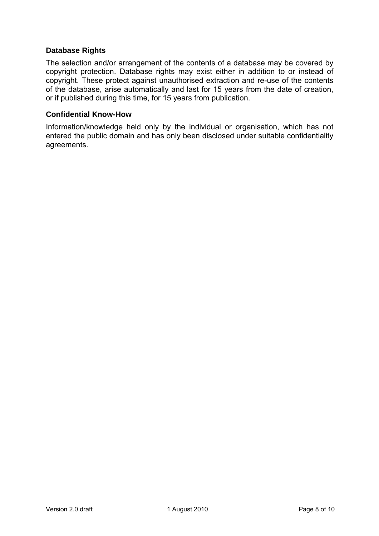#### **Database Rights**

The selection and/or arrangement of the contents of a database may be covered by copyright protection. Database rights may exist either in addition to or instead of copyright. These protect against unauthorised extraction and re-use of the contents of the database, arise automatically and last for 15 years from the date of creation, or if published during this time, for 15 years from publication.

#### **Confidential Know-How**

Information/knowledge held only by the individual or organisation, which has not entered the public domain and has only been disclosed under suitable confidentiality agreements.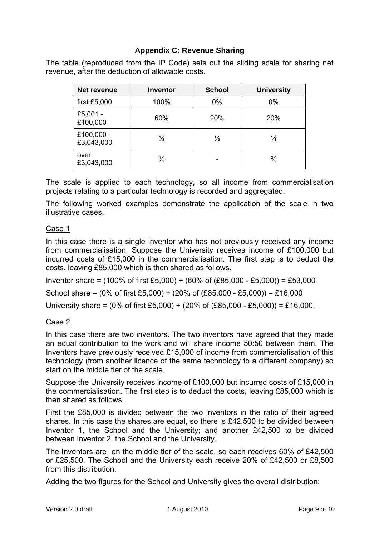# **Appendix C: Revenue Sharing**

The table (reproduced from the IP Code) sets out the sliding scale for sharing net revenue, after the deduction of allowable costs.

| <b>Net revenue</b>       | <b>Inventor</b> | <b>School</b> | <b>University</b> |
|--------------------------|-----------------|---------------|-------------------|
| first £5,000             | 100%            | 0%            | 0%                |
| £5,001 -<br>£100,000     | 60%             | 20%           | 20%               |
| £100,000 -<br>£3,043,000 | $\frac{1}{3}$   | $\frac{1}{3}$ | ⅓                 |
| over<br>£3,043,000       | $\frac{1}{3}$   |               | $\frac{2}{3}$     |

The scale is applied to each technology, so all income from commercialisation projects relating to a particular technology is recorded and aggregated.

The following worked examples demonstrate the application of the scale in two illustrative cases.

# Case 1

In this case there is a single inventor who has not previously received any income from commercialisation. Suppose the University receives income of £100,000 but incurred costs of £15,000 in the commercialisation. The first step is to deduct the costs, leaving £85,000 which is then shared as follows.

Inventor share =  $(100\% \text{ of first } £5,000) + (60\% \text{ of } (£85,000 - £5,000)) = £53,000$ 

School share = (0% of first £5,000) + (20% of (£85,000 - £5,000)) = £16,000

University share =  $(0\% \text{ of first } £5,000) + (20\% \text{ of } (£85,000 - £5,000)) = £16,000.$ 

# Case 2

In this case there are two inventors. The two inventors have agreed that they made an equal contribution to the work and will share income 50:50 between them. The Inventors have previously received £15,000 of income from commercialisation of this technology (from another licence of the same technology to a different company) so start on the middle tier of the scale.

Suppose the University receives income of £100,000 but incurred costs of £15,000 in the commercialisation. The first step is to deduct the costs, leaving £85,000 which is then shared as follows.

First the £85,000 is divided between the two inventors in the ratio of their agreed shares. In this case the shares are equal, so there is £42,500 to be divided between Inventor 1, the School and the University; and another £42,500 to be divided between Inventor 2, the School and the University.

The Inventors are on the middle tier of the scale, so each receives 60% of £42,500 or £25,500. The School and the University each receive 20% of £42,500 or £8,500 from this distribution.

Adding the two figures for the School and University gives the overall distribution: